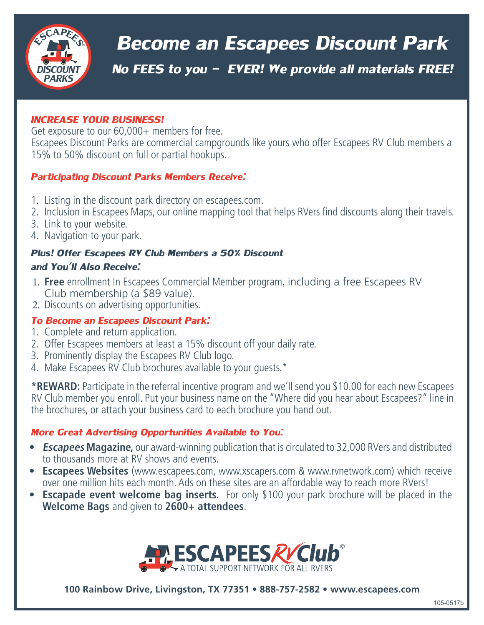

# *Become an Escapees Discount Park*

*No FEES to you - EVER! We provide all materials FREE!*

#### *INCREASE YOUR BUSINESS!*

Get exposure to our 60,000+ members for free. Escapees Discount Parks are commercial campgrounds like yours who offer Escapees RV Club members a 15% to 50% discount on full or partial hookups.

## *Participating Discount Parks Members Receive:*

- 1. Listing in the discount park directory on escapees.com.
- 2. Inclusion in Escapees Maps, our online mapping tool that helps RVers find discounts along their travels.
- 3. Link to your website.
- 4. Navigation to your park.

## *Plus! Offer Escapees RV Club Members a 50% Discount and You'll Also Receive:*

- 1. **Free** enrollment In Escapees Commercial Member program, including a free Escapees RV Club membership (a \$89 value).
- 2. Discounts on advertising opportunities.

## *To Become an Escapees Discount Park:*

- 1. Complete and return application.
- 2. Offer Escapees members at least a 15% discount off your daily rate.
- 3. Prominently display the Escapees RV Club logo.
- 4. Make Escapees RV Club brochures available to your guests.\*

**\*REWARD:** Participate in the referral incentive program and we'll send you \$10.00 for each new Escapees RV Club member you enroll. Put your business name on the "Where did you hear about Escapees?" line in the brochures, or attach your business card to each brochure you hand out.

## *More Great Advertising Opportunities Available to You:*

- **• Escapees Magazine,** our award-winning publication that is circulated to 32,000 RVers and distributed to thousands more at RV shows and events.
- **• Escapees Websites** (www.escapees.com, www.xscapers.com & www.rvnetwork.com) which receive over one million hits each month. Ads on these sites are an affordable way to reach more RVers!
- **• Escapade event welcome bag inserts.** For only \$100 your park brochure will be placed in the **Welcome Bags** and given to **2600+ attendees**.



**100 Rainbow Drive, Livingston, TX 77351 • 888-757-2582 • www.escapees.com**

105-0517b